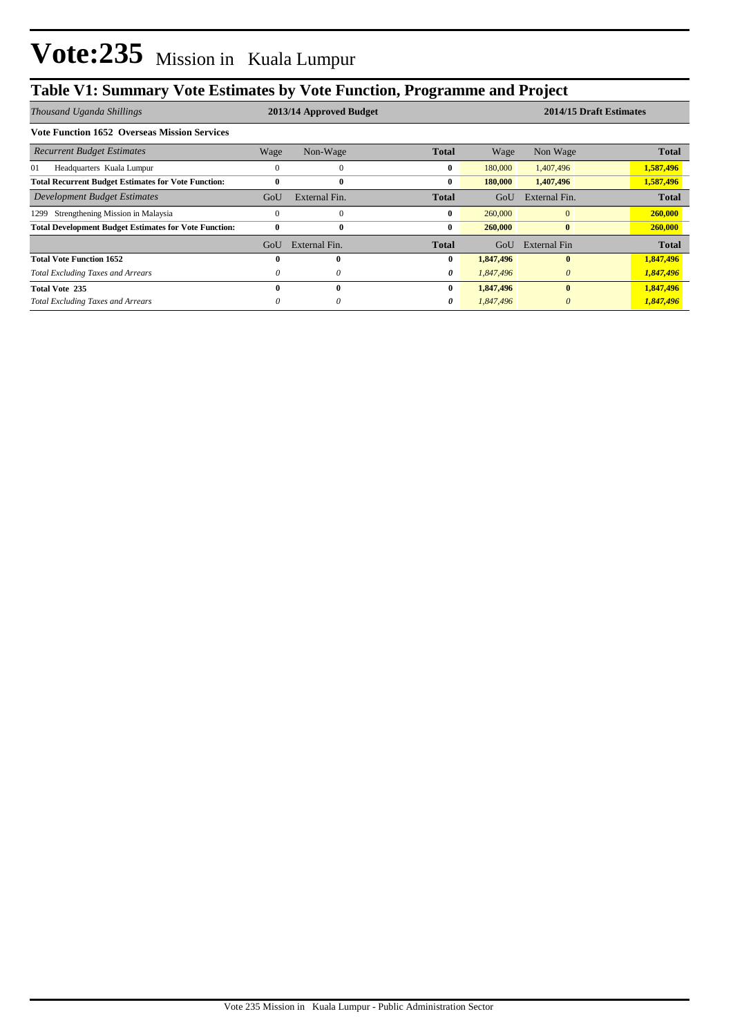## **Table V1: Summary Vote Estimates by Vote Function, Programme and Project**

| Thousand Uganda Shillings                                    | 2013/14 Approved Budget |               |              |           | 2014/15 Draft Estimates |              |  |
|--------------------------------------------------------------|-------------------------|---------------|--------------|-----------|-------------------------|--------------|--|
| <b>Vote Function 1652 Overseas Mission Services</b>          |                         |               |              |           |                         |              |  |
| <b>Recurrent Budget Estimates</b>                            | Wage                    | Non-Wage      | <b>Total</b> | Wage      | Non Wage                | <b>Total</b> |  |
| 01<br>Headquarters Kuala Lumpur                              | 0                       | $\theta$      | $\bf{0}$     | 180,000   | 1,407,496               | 1,587,496    |  |
| <b>Total Recurrent Budget Estimates for Vote Function:</b>   | 0                       | $\bf{0}$      | $\bf{0}$     | 180,000   | 1,407,496               | 1,587,496    |  |
| Development Budget Estimates                                 | GoU                     | External Fin. | <b>Total</b> | GoU       | External Fin.           | <b>Total</b> |  |
| Strengthening Mission in Malaysia<br>1299                    | 0                       | $\Omega$      | $\bf{0}$     | 260,000   | $\mathbf{0}$            | 260,000      |  |
| <b>Total Development Budget Estimates for Vote Function:</b> | $\mathbf{0}$            | $\mathbf{0}$  | $\bf{0}$     | 260,000   | $\bf{0}$                | 260,000      |  |
|                                                              | GoU                     | External Fin. | <b>Total</b> | GoU       | External Fin            | <b>Total</b> |  |
| <b>Total Vote Function 1652</b>                              | 0                       | $\mathbf{0}$  | $\bf{0}$     | 1,847,496 | $\mathbf{0}$            | 1,847,496    |  |
| <b>Total Excluding Taxes and Arrears</b>                     | 0                       | $\theta$      | 0            | 1,847,496 | $\theta$                | 1,847,496    |  |
| <b>Total Vote 235</b>                                        | 0                       | $\mathbf{0}$  | $\bf{0}$     | 1,847,496 | $\mathbf{0}$            | 1,847,496    |  |
| <b>Total Excluding Taxes and Arrears</b>                     | 0                       | 0             | 0            | 1,847,496 | $\theta$                | 1,847,496    |  |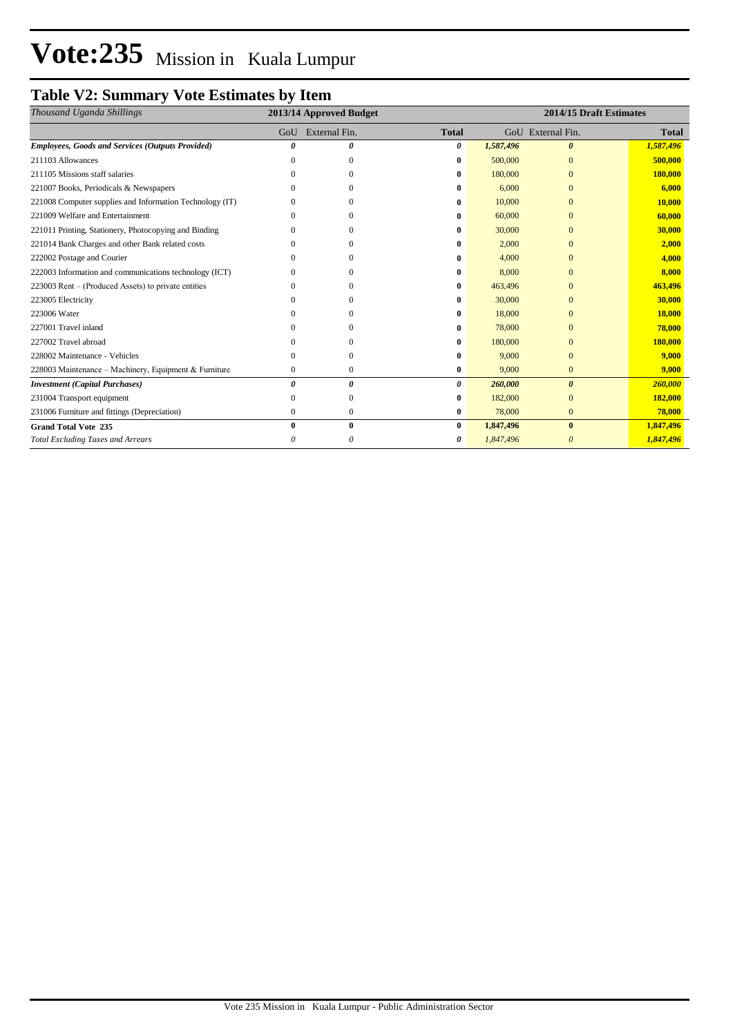# **Vote:235** Mission in Kuala Lumpur

## **Table V2: Summary Vote Estimates by Item**

| Thousand Uganda Shillings                                |     | 2013/14 Approved Budget |              | 2014/15 Draft Estimates |                       |              |  |
|----------------------------------------------------------|-----|-------------------------|--------------|-------------------------|-----------------------|--------------|--|
|                                                          | GoU | External Fin.           | <b>Total</b> |                         | GoU External Fin.     | <b>Total</b> |  |
| <b>Employees, Goods and Services (Outputs Provided)</b>  |     | n                       | 0            | 1,587,496               | $\boldsymbol{\theta}$ | 1,587,496    |  |
| 211103 Allowances                                        |     | 0                       | 0            | 500,000                 | $\Omega$              | 500,000      |  |
| 211105 Missions staff salaries                           |     | 0                       | 0            | 180,000                 | $\Omega$              | 180,000      |  |
| 221007 Books, Periodicals & Newspapers                   |     | 0                       | 0            | 6,000                   | $\Omega$              | 6,000        |  |
| 221008 Computer supplies and Information Technology (IT) |     | ∩                       | 0            | 10,000                  | $\Omega$              | 10,000       |  |
| 221009 Welfare and Entertainment                         |     |                         | 0            | 60,000                  | $\Omega$              | 60,000       |  |
| 221011 Printing, Stationery, Photocopying and Binding    |     |                         |              | 30,000                  | $\Omega$              | 30,000       |  |
| 221014 Bank Charges and other Bank related costs         |     |                         |              | 2,000                   | $\Omega$              | 2,000        |  |
| 222002 Postage and Courier                               |     |                         |              | 4,000                   | $\Omega$              | 4,000        |  |
| 222003 Information and communications technology (ICT)   |     | ∩                       | 0            | 8,000                   | $\Omega$              | 8,000        |  |
| 223003 Rent – (Produced Assets) to private entities      |     | 0                       | 0            | 463,496                 | $\Omega$              | 463,496      |  |
| 223005 Electricity                                       |     | $\Omega$                | 0            | 30,000                  | $\Omega$              | 30,000       |  |
| 223006 Water                                             |     | $\Omega$                | 0            | 18,000                  | $\Omega$              | 18,000       |  |
| 227001 Travel inland                                     |     | 0                       | 0            | 78,000                  | $\Omega$              | 78,000       |  |
| 227002 Travel abroad                                     |     |                         | 0            | 180,000                 | $\Omega$              | 180,000      |  |
| 228002 Maintenance - Vehicles                            |     | $\Omega$                | 0            | 9,000                   | $\Omega$              | 9,000        |  |
| 228003 Maintenance – Machinery, Equipment & Furniture    | 0   | $\bf{0}$                | 0            | 9,000                   | $\mathbf{0}$          | 9,000        |  |
| <b>Investment</b> (Capital Purchases)                    | 0   | 0                       | 0            | 260,000                 | $\boldsymbol{\theta}$ | 260,000      |  |
| 231004 Transport equipment                               |     | $\Omega$                | 0            | 182,000                 | $\mathbf{0}$          | 182,000      |  |
| 231006 Furniture and fittings (Depreciation)             | 0   | $\mathbf{0}$            | 0            | 78,000                  | $\mathbf{0}$          | 78,000       |  |
| <b>Grand Total Vote 235</b>                              |     | $\bf{0}$                | $\bf{0}$     | 1,847,496               | $\bf{0}$              | 1,847,496    |  |
| <b>Total Excluding Taxes and Arrears</b>                 |     | $\theta$                | 0            | 1,847,496               | $\boldsymbol{\theta}$ | 1,847,496    |  |